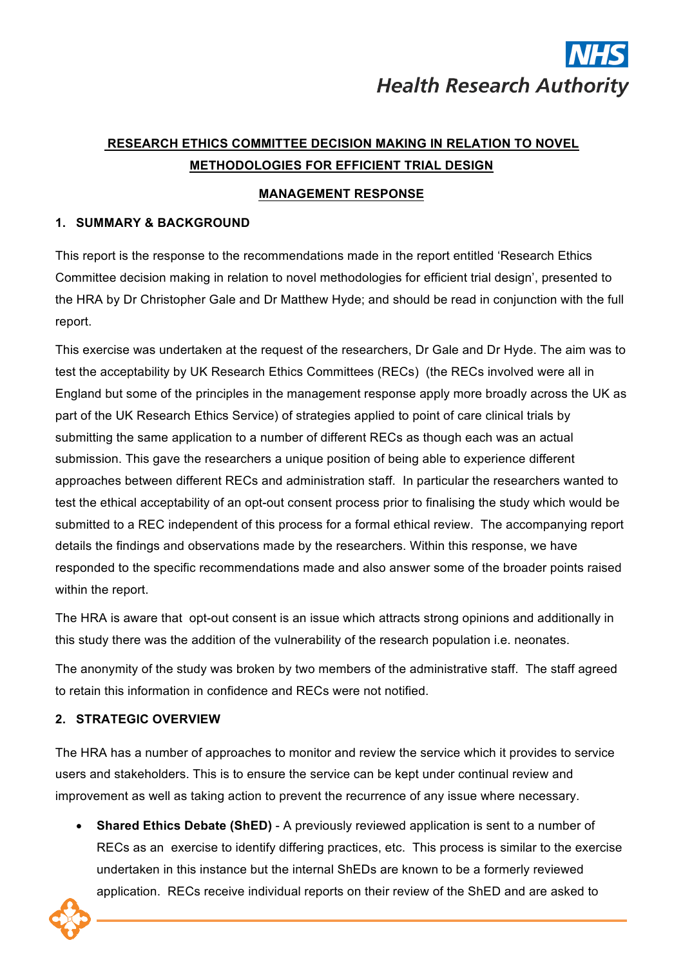# **Health Research Authority**

## **RESEARCH ETHICS COMMITTEE DECISION MAKING IN RELATION TO NOVEL METHODOLOGIES FOR EFFICIENT TRIAL DESIGN**

## **MANAGEMENT RESPONSE**

## **1. SUMMARY & BACKGROUND**

This report is the response to the recommendations made in the report entitled 'Research Ethics Committee decision making in relation to novel methodologies for efficient trial design', presented to the HRA by Dr Christopher Gale and Dr Matthew Hyde; and should be read in conjunction with the full report.

This exercise was undertaken at the request of the researchers, Dr Gale and Dr Hyde. The aim was to test the acceptability by UK Research Ethics Committees (RECs) (the RECs involved were all in England but some of the principles in the management response apply more broadly across the UK as part of the UK Research Ethics Service) of strategies applied to point of care clinical trials by submitting the same application to a number of different RECs as though each was an actual submission. This gave the researchers a unique position of being able to experience different approaches between different RECs and administration staff. In particular the researchers wanted to test the ethical acceptability of an opt-out consent process prior to finalising the study which would be submitted to a REC independent of this process for a formal ethical review. The accompanying report details the findings and observations made by the researchers. Within this response, we have responded to the specific recommendations made and also answer some of the broader points raised within the report.

The HRA is aware that opt-out consent is an issue which attracts strong opinions and additionally in this study there was the addition of the vulnerability of the research population i.e. neonates.

The anonymity of the study was broken by two members of the administrative staff. The staff agreed to retain this information in confidence and RECs were not notified.

## **2. STRATEGIC OVERVIEW**

The HRA has a number of approaches to monitor and review the service which it provides to service users and stakeholders. This is to ensure the service can be kept under continual review and improvement as well as taking action to prevent the recurrence of any issue where necessary.

• **Shared Ethics Debate (ShED)** - A previously reviewed application is sent to a number of RECs as an exercise to identify differing practices, etc. This process is similar to the exercise undertaken in this instance but the internal ShEDs are known to be a formerly reviewed application. RECs receive individual reports on their review of the ShED and are asked to

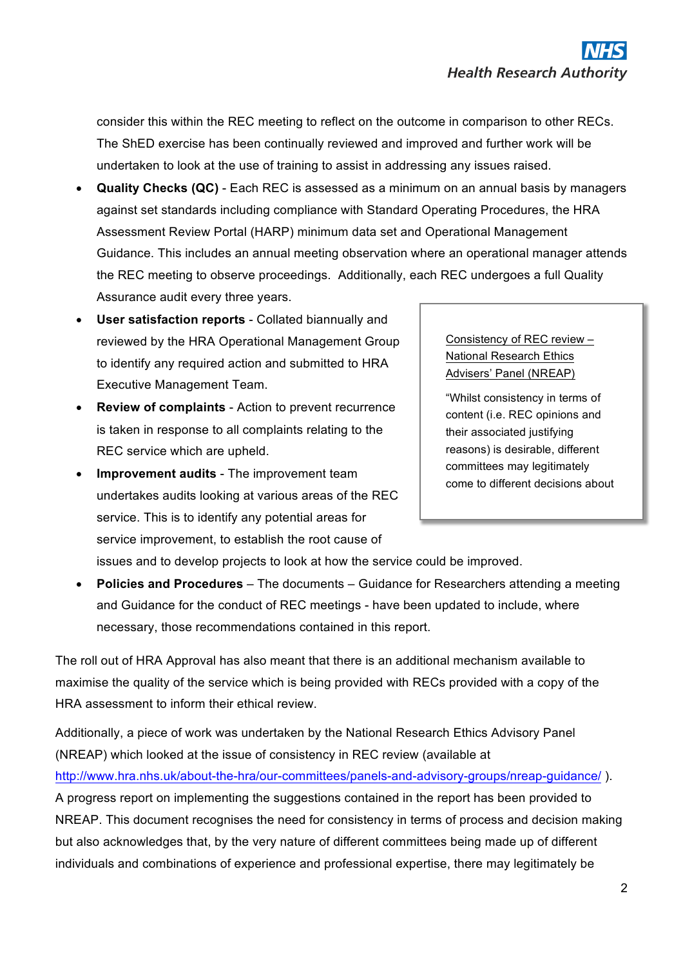consider this within the REC meeting to reflect on the outcome in comparison to other RECs. The ShED exercise has been continually reviewed and improved and further work will be undertaken to look at the use of training to assist in addressing any issues raised.

- **Quality Checks (QC)** Each REC is assessed as a minimum on an annual basis by managers against set standards including compliance with Standard Operating Procedures, the HRA Assessment Review Portal (HARP) minimum data set and Operational Management Guidance. This includes an annual meeting observation where an operational manager attends the REC meeting to observe proceedings. Additionally, each REC undergoes a full Quality Assurance audit every three years.
- **User satisfaction reports** Collated biannually and reviewed by the HRA Operational Management Group to identify any required action and submitted to HRA Executive Management Team.
- **Review of complaints** Action to prevent recurrence is taken in response to all complaints relating to the REC service which are upheld.
- **Improvement audits** The improvement team undertakes audits looking at various areas of the REC service. This is to identify any potential areas for service improvement, to establish the root cause of

Consistency of REC review – National Research Ethics Advisers' Panel (NREAP)

"Whilst consistency in terms of content (i.e. REC opinions and their associated justifying reasons) is desirable, different committees may legitimately come to different decisions about

issues and to develop projects to look at how the service could be improved.

• **Policies and Procedures** – The documents – Guidance for Researchers attending a meeting and Guidance for the conduct of REC meetings - have been updated to include, where necessary, those recommendations contained in this report.

The roll out of HRA Approval has also meant that there is an additional mechanism available to maximise the quality of the service which is being provided with RECs provided with a copy of the HRA assessment to inform their ethical review.

Additionally, a piece of work was undertaken by the National Research Ethics Advisory Panel (NREAP) which looked at the issue of consistency in REC review (available at http://www.hra.nhs.uk/about-the-hra/our-committees/panels-and-advisory-groups/nreap-guidance/ ). A progress report on implementing the suggestions contained in the report has been provided to NREAP. This document recognises the need for consistency in terms of process and decision making but also acknowledges that, by the very nature of different committees being made up of different individuals and combinations of experience and professional expertise, there may legitimately be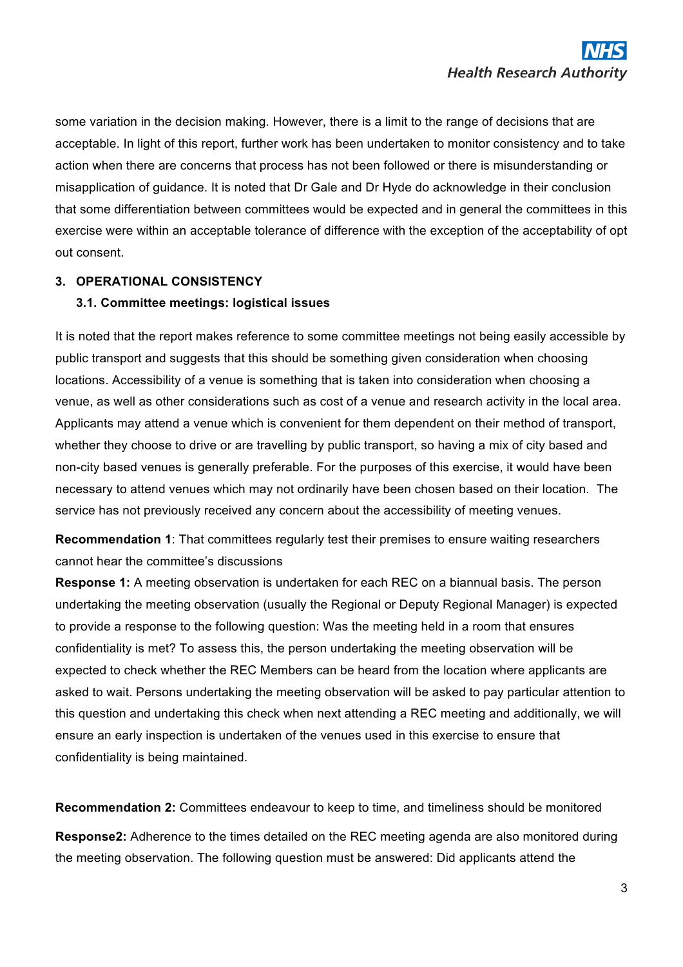some variation in the decision making. However, there is a limit to the range of decisions that are acceptable. In light of this report, further work has been undertaken to monitor consistency and to take action when there are concerns that process has not been followed or there is misunderstanding or misapplication of guidance. It is noted that Dr Gale and Dr Hyde do acknowledge in their conclusion that some differentiation between committees would be expected and in general the committees in this exercise were within an acceptable tolerance of difference with the exception of the acceptability of opt out consent.

#### **3. OPERATIONAL CONSISTENCY**

#### **3.1. Committee meetings: logistical issues**

It is noted that the report makes reference to some committee meetings not being easily accessible by public transport and suggests that this should be something given consideration when choosing locations. Accessibility of a venue is something that is taken into consideration when choosing a venue, as well as other considerations such as cost of a venue and research activity in the local area. Applicants may attend a venue which is convenient for them dependent on their method of transport, whether they choose to drive or are travelling by public transport, so having a mix of city based and non-city based venues is generally preferable. For the purposes of this exercise, it would have been necessary to attend venues which may not ordinarily have been chosen based on their location. The service has not previously received any concern about the accessibility of meeting venues.

**Recommendation 1**: That committees regularly test their premises to ensure waiting researchers cannot hear the committee's discussions

**Response 1:** A meeting observation is undertaken for each REC on a biannual basis. The person undertaking the meeting observation (usually the Regional or Deputy Regional Manager) is expected to provide a response to the following question: Was the meeting held in a room that ensures confidentiality is met? To assess this, the person undertaking the meeting observation will be expected to check whether the REC Members can be heard from the location where applicants are asked to wait. Persons undertaking the meeting observation will be asked to pay particular attention to this question and undertaking this check when next attending a REC meeting and additionally, we will ensure an early inspection is undertaken of the venues used in this exercise to ensure that confidentiality is being maintained.

**Recommendation 2:** Committees endeavour to keep to time, and timeliness should be monitored **Response2:** Adherence to the times detailed on the REC meeting agenda are also monitored during the meeting observation. The following question must be answered: Did applicants attend the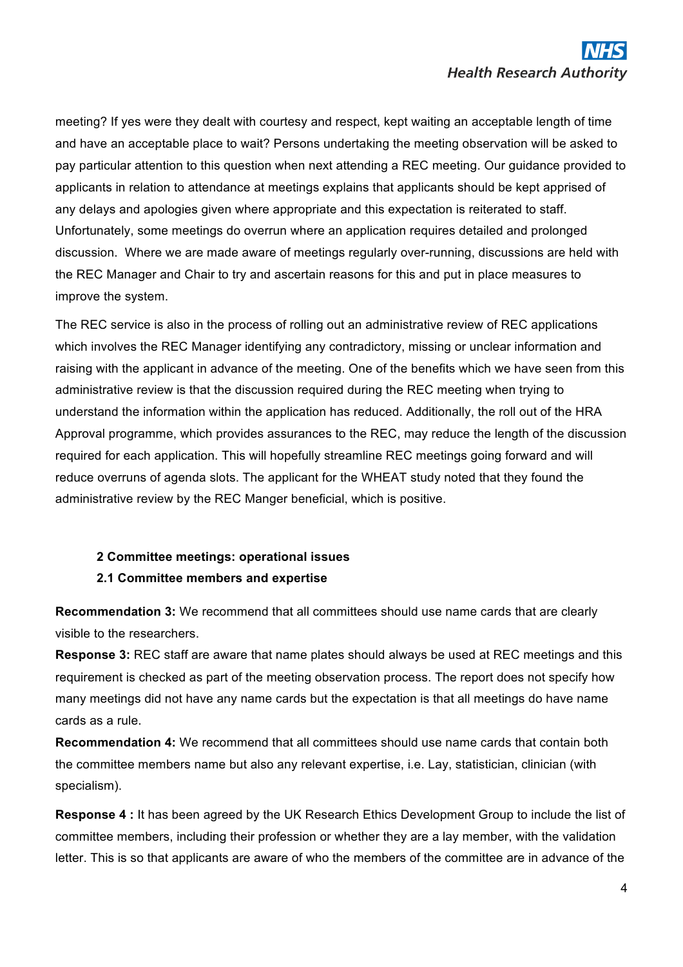meeting? If yes were they dealt with courtesy and respect, kept waiting an acceptable length of time and have an acceptable place to wait? Persons undertaking the meeting observation will be asked to pay particular attention to this question when next attending a REC meeting. Our guidance provided to applicants in relation to attendance at meetings explains that applicants should be kept apprised of any delays and apologies given where appropriate and this expectation is reiterated to staff. Unfortunately, some meetings do overrun where an application requires detailed and prolonged discussion. Where we are made aware of meetings regularly over-running, discussions are held with the REC Manager and Chair to try and ascertain reasons for this and put in place measures to improve the system.

The REC service is also in the process of rolling out an administrative review of REC applications which involves the REC Manager identifying any contradictory, missing or unclear information and raising with the applicant in advance of the meeting. One of the benefits which we have seen from this administrative review is that the discussion required during the REC meeting when trying to understand the information within the application has reduced. Additionally, the roll out of the HRA Approval programme, which provides assurances to the REC, may reduce the length of the discussion required for each application. This will hopefully streamline REC meetings going forward and will reduce overruns of agenda slots. The applicant for the WHEAT study noted that they found the administrative review by the REC Manger beneficial, which is positive.

## **2 Committee meetings: operational issues 2.1 Committee members and expertise**

**Recommendation 3:** We recommend that all committees should use name cards that are clearly visible to the researchers.

**Response 3:** REC staff are aware that name plates should always be used at REC meetings and this requirement is checked as part of the meeting observation process. The report does not specify how many meetings did not have any name cards but the expectation is that all meetings do have name cards as a rule.

**Recommendation 4:** We recommend that all committees should use name cards that contain both the committee members name but also any relevant expertise, i.e. Lay, statistician, clinician (with specialism).

**Response 4 :** It has been agreed by the UK Research Ethics Development Group to include the list of committee members, including their profession or whether they are a lay member, with the validation letter. This is so that applicants are aware of who the members of the committee are in advance of the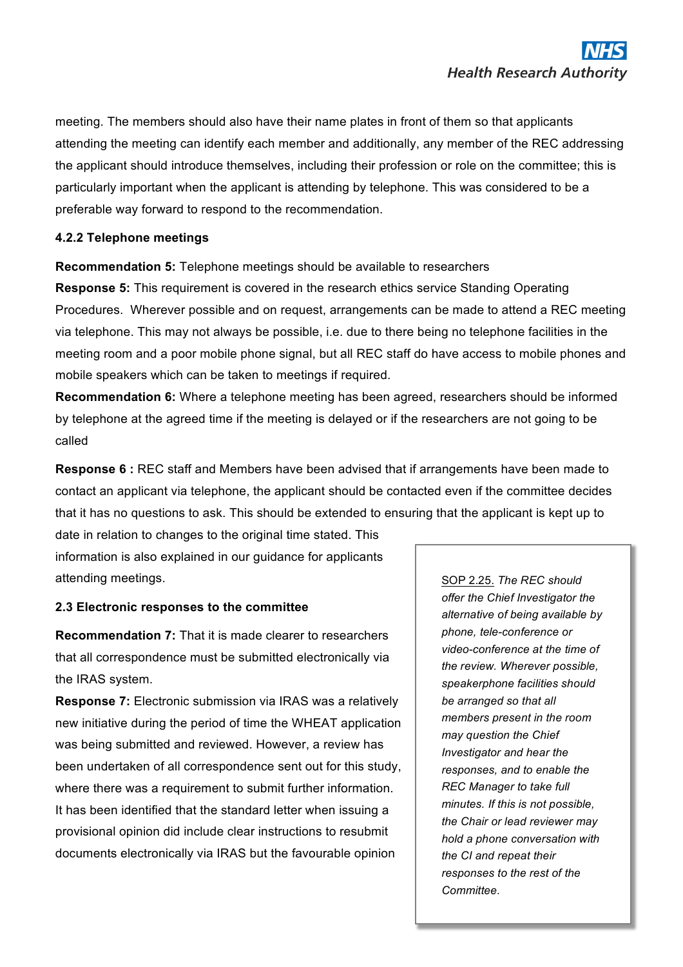meeting. The members should also have their name plates in front of them so that applicants attending the meeting can identify each member and additionally, any member of the REC addressing the applicant should introduce themselves, including their profession or role on the committee; this is particularly important when the applicant is attending by telephone. This was considered to be a preferable way forward to respond to the recommendation.

#### **4.2.2 Telephone meetings**

**Recommendation 5:** Telephone meetings should be available to researchers

**Response 5:** This requirement is covered in the research ethics service Standing Operating Procedures.Wherever possible and on request, arrangements can be made to attend a REC meeting via telephone. This may not always be possible, i.e. due to there being no telephone facilities in the meeting room and a poor mobile phone signal, but all REC staff do have access to mobile phones and mobile speakers which can be taken to meetings if required.

**Recommendation 6:** Where a telephone meeting has been agreed, researchers should be informed by telephone at the agreed time if the meeting is delayed or if the researchers are not going to be called

**Response 6 :** REC staff and Members have been advised that if arrangements have been made to contact an applicant via telephone, the applicant should be contacted even if the committee decides that it has no questions to ask. This should be extended to ensuring that the applicant is kept up to

date in relation to changes to the original time stated. This information is also explained in our guidance for applicants attending meetings.

#### **2.3 Electronic responses to the committee**

**Recommendation 7:** That it is made clearer to researchers that all correspondence must be submitted electronically via the IRAS system.

**Response 7:** Electronic submission via IRAS was a relatively new initiative during the period of time the WHEAT application was being submitted and reviewed. However, a review has been undertaken of all correspondence sent out for this study, where there was a requirement to submit further information. It has been identified that the standard letter when issuing a provisional opinion did include clear instructions to resubmit documents electronically via IRAS but the favourable opinion

SOP 2.25. *The REC should offer the Chief Investigator the alternative of being available by phone, tele-conference or video-conference at the time of the review. Wherever possible, speakerphone facilities should be arranged so that all members present in the room may question the Chief Investigator and hear the responses, and to enable the REC Manager to take full minutes. If this is not possible, the Chair or lead reviewer may hold a phone conversation with the CI and repeat their responses to the rest of the Committee.*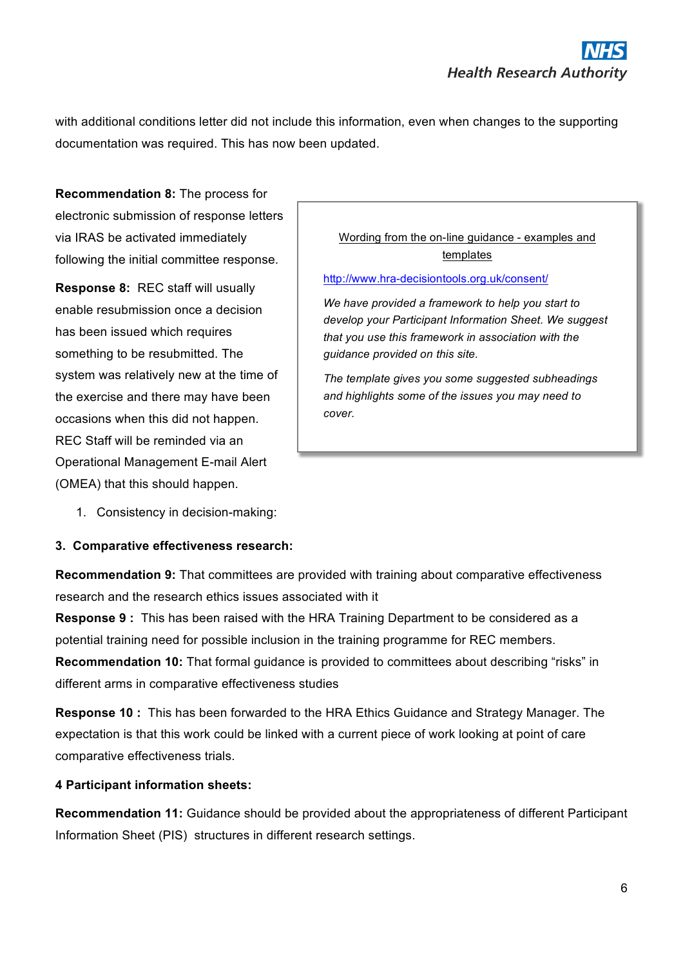with additional conditions letter did not include this information, even when changes to the supporting documentation was required. This has now been updated.

**Recommendation 8:** The process for electronic submission of response letters via IRAS be activated immediately following the initial committee response.

**Response 8:** REC staff will usually enable resubmission once a decision has been issued which requires something to be resubmitted. The system was relatively new at the time of the exercise and there may have been occasions when this did not happen. REC Staff will be reminded via an Operational Management E-mail Alert (OMEA) that this should happen.

Wording from the on-line guidance - examples and templates

http://www.hra-decisiontools.org.uk/consent/

*We have provided a framework to help you start to develop your Participant Information Sheet. We suggest that you use this framework in association with the guidance provided on this site.*

*The template gives you some suggested subheadings and highlights some of the issues you may need to cover.* 

1. Consistency in decision-making:

#### **3. Comparative effectiveness research:**

**Recommendation 9:** That committees are provided with training about comparative effectiveness research and the research ethics issues associated with it

**Response 9 :** This has been raised with the HRA Training Department to be considered as a potential training need for possible inclusion in the training programme for REC members. **Recommendation 10:** That formal guidance is provided to committees about describing "risks" in different arms in comparative effectiveness studies

**Response 10 :** This has been forwarded to the HRA Ethics Guidance and Strategy Manager. The expectation is that this work could be linked with a current piece of work looking at point of care comparative effectiveness trials.

#### **4 Participant information sheets:**

**Recommendation 11:** Guidance should be provided about the appropriateness of different Participant Information Sheet (PIS) structures in different research settings.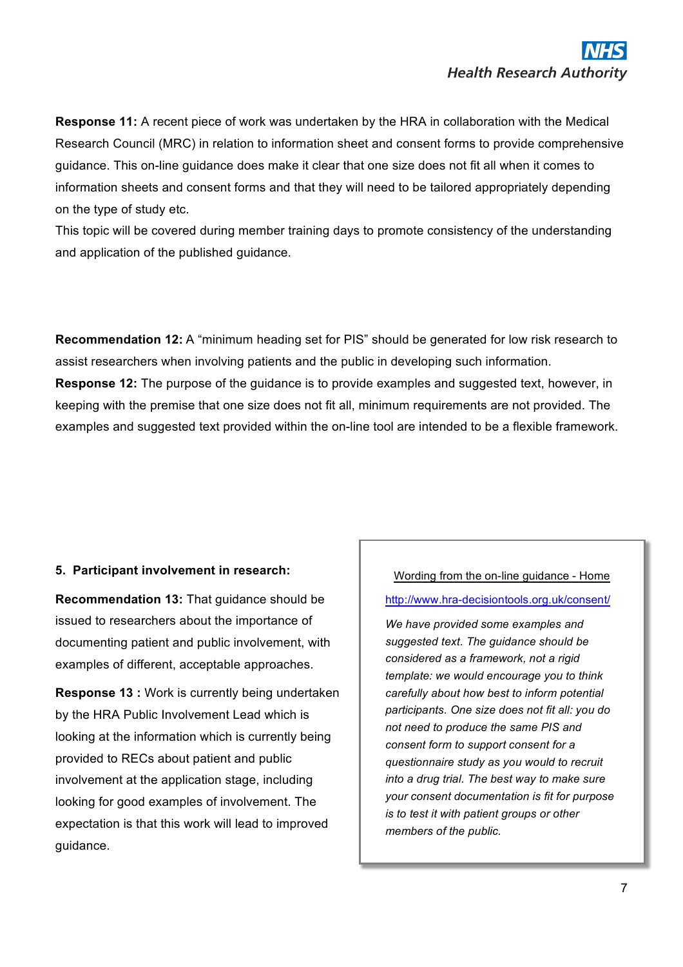**Response 11:** A recent piece of work was undertaken by the HRA in collaboration with the Medical Research Council (MRC) in relation to information sheet and consent forms to provide comprehensive guidance. This on-line guidance does make it clear that one size does not fit all when it comes to information sheets and consent forms and that they will need to be tailored appropriately depending on the type of study etc.

This topic will be covered during member training days to promote consistency of the understanding and application of the published guidance.

**Recommendation 12:** A "minimum heading set for PIS" should be generated for low risk research to assist researchers when involving patients and the public in developing such information. **Response 12:** The purpose of the guidance is to provide examples and suggested text, however, in keeping with the premise that one size does not fit all, minimum requirements are not provided. The examples and suggested text provided within the on-line tool are intended to be a flexible framework.

#### **5. Participant involvement in research:**

**Recommendation 13:** That guidance should be issued to researchers about the importance of documenting patient and public involvement, with examples of different, acceptable approaches.

**Response 13 :** Work is currently being undertaken by the HRA Public Involvement Lead which is looking at the information which is currently being provided to RECs about patient and public involvement at the application stage, including looking for good examples of involvement. The expectation is that this work will lead to improved guidance.

### Wording from the on-line guidance - Home

#### http://www.hra-decisiontools.org.uk/consent/

*We have provided some examples and suggested text. The guidance should be considered as a framework, not a rigid template: we would encourage you to think carefully about how best to inform potential participants. One size does not fit all: you do not need to produce the same PIS and consent form to support consent for a questionnaire study as you would to recruit into a drug trial. The best way to make sure your consent documentation is fit for purpose is to test it with patient groups or other members of the public.*